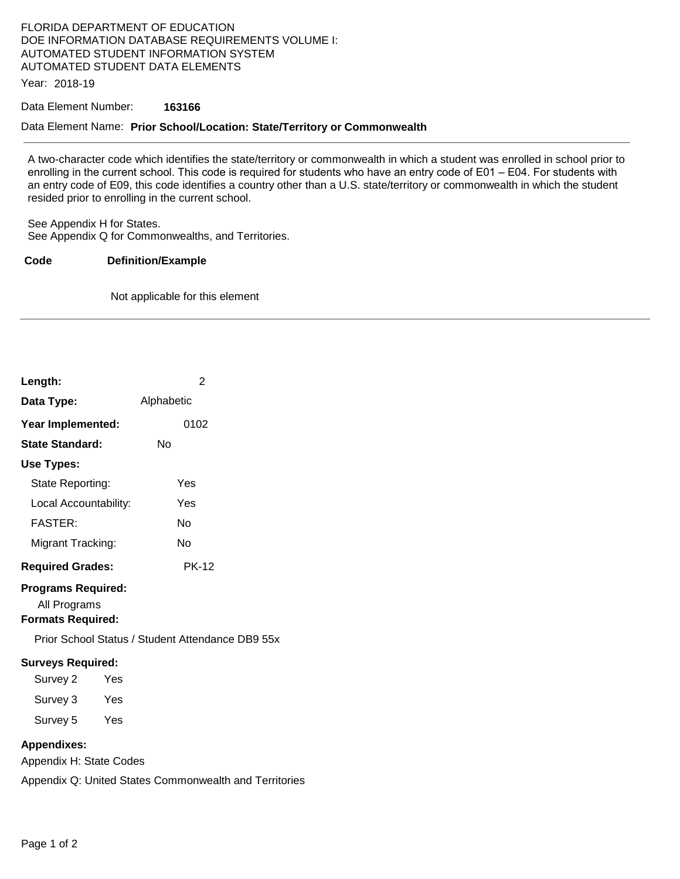## FLORIDA DEPARTMENT OF EDUCATION DOE INFORMATION DATABASE REQUIREMENTS VOLUME I: AUTOMATED STUDENT INFORMATION SYSTEM AUTOMATED STUDENT DATA ELEMENTS

Year: 2018-19

Data Element Number: **163166** 

#### Data Element Name: **Prior School/Location: State/Territory or Commonwealth**

A two-character code which identifies the state/territory or commonwealth in which a student was enrolled in school prior to enrolling in the current school. This code is required for students who have an entry code of E01 – E04. For students with an entry code of E09, this code identifies a country other than a U.S. state/territory or commonwealth in which the student resided prior to enrolling in the current school.

See Appendix H for States. See Appendix Q for Commonwealths, and Territories.

#### **Code Definition/Example**

Not applicable for this element

| Length:                                                                        | 2                                                      |
|--------------------------------------------------------------------------------|--------------------------------------------------------|
| Data Type:                                                                     | Alphabetic                                             |
| Year Implemented:                                                              | 0102                                                   |
| <b>State Standard:</b>                                                         | No                                                     |
| Use Types:                                                                     |                                                        |
| State Reporting:                                                               | Yes                                                    |
| Local Accountability:                                                          | Yes                                                    |
| <b>FASTER:</b>                                                                 | No                                                     |
| Migrant Tracking:                                                              | No                                                     |
| <b>Required Grades:</b>                                                        | <b>PK-12</b>                                           |
| <b>Programs Required:</b><br>All Programs<br><b>Formats Required:</b>          |                                                        |
|                                                                                | Prior School Status / Student Attendance DB9 55x       |
| <b>Surveys Required:</b><br>Survey 2<br>Yes<br>Survey 3<br>Yes<br>Survey 5 Yes |                                                        |
|                                                                                |                                                        |
| <b>Appendixes:</b>                                                             |                                                        |
| Appendix H: State Codes                                                        |                                                        |
|                                                                                | Appendix Q: United States Commonwealth and Territories |